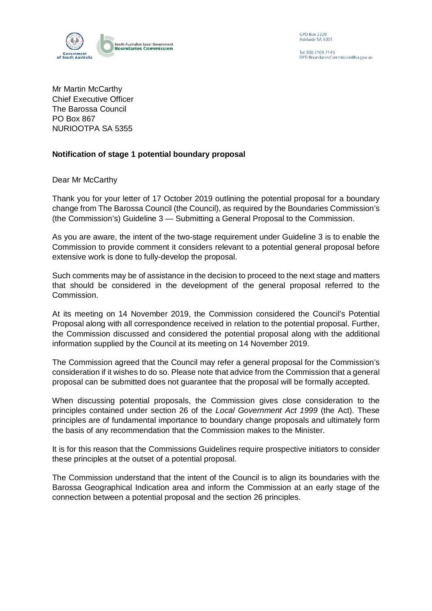

GPO Box 2329 Adelaide SA 5001

Tel (08) 7109 7145 DPTLBoundariesCommission@sa.gov.au

Mr Martin McCarthy Chief Executive Officer The Barossa Council PO Box 867 NURIOOTPA SA 5355

## **Notification of stage 1 potential boundary proposal**

Dear Mr McCarthy

Thank you for your letter of 17 October 2019 outlining the potential proposal for a boundary change from The Barossa Council (the Council), as required by the Boundaries Commission's (the Commission's) Guideline 3 — Submitting a General Proposal to the Commission.

As you are aware, the intent of the two-stage requirement under Guideline 3 is to enable the Commission to provide comment it considers relevant to a potential general proposal before extensive work is done to fully-develop the proposal.

Such comments may be of assistance in the decision to proceed to the next stage and matters that should be considered in the development of the general proposal referred to the Commission.

At its meeting on 14 November 2019, the Commission considered the Council's Potential Proposal along with all correspondence received in relation to the potential proposal. Further, the Commission discussed and considered the potential proposal along with the additional information supplied by the Council at its meeting on 14 November 2019.

The Commission agreed that the Council may refer a general proposal for the Commission's consideration if it wishes to do so. Please note that advice from the Commission that a general proposal can be submitted does not guarantee that the proposal will be formally accepted.

When discussing potential proposals, the Commission gives close consideration to the principles contained under section 26 of the *Local Government Act 1999* (the Act). These principles are of fundamental importance to boundary change proposals and ultimately form the basis of any recommendation that the Commission makes to the Minister.

It is for this reason that the Commissions Guidelines require prospective initiators to consider these principles at the outset of a potential proposal.

The Commission understand that the intent of the Council is to align its boundaries with the Barossa Geographical Indication area and inform the Commission at an early stage of the connection between a potential proposal and the section 26 principles.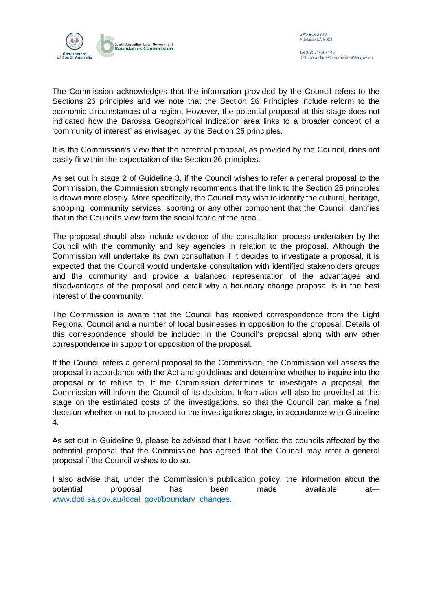

The Commission acknowledges that the information provided by the Council refers to the Sections 26 principles and we note that the Section 26 Principles include reform to the economic circumstances of a region. However, the potential proposal at this stage does not indicated how the Barossa Geographical Indication area links to a broader concept of a 'community of interest' as envisaged by the Section 26 principles.

It is the Commission's view that the potential proposal, as provided by the Council, does not easily fit within the expectation of the Section 26 principles.

As set out in stage 2 of Guideline 3, if the Council wishes to refer a general proposal to the Commission, the Commission strongly recommends that the link to the Section 26 principles is drawn more closely. More specifically, the Council may wish to identify the cultural, heritage, shopping, community services, sporting or any other component that the Council identifies that in the Council's view form the social fabric of the area.

The proposal should also include evidence of the consultation process undertaken by the Council with the community and key agencies in relation to the proposal. Although the Commission will undertake its own consultation if it decides to investigate a proposal, it is expected that the Council would undertake consultation with identified stakeholders groups and the community and provide a balanced representation of the advantages and disadvantages of the proposal and detail why a boundary change proposal is in the best interest of the community.

The Commission is aware that the Council has received correspondence from the Light Regional Council and a number of local businesses in opposition to the proposal. Details of this correspondence should be included in the Council's proposal along with any other correspondence in support or opposition of the proposal.

If the Council refers a general proposal to the Commission, the Commission will assess the proposal in accordance with the Act and guidelines and determine whether to inquire into the proposal or to refuse to. If the Commission determines to investigate a proposal, the Commission will inform the Council of its decision. Information will also be provided at this stage on the estimated costs of the investigations, so that the Council can make a final decision whether or not to proceed to the investigations stage, in accordance with Guideline 4.

As set out in Guideline 9, please be advised that I have notified the councils affected by the potential proposal that the Commission has agreed that the Council may refer a general proposal if the Council wishes to do so.

I also advise that, under the Commission's publication policy, the information about the potential proposal has been made available at [www.dpti.sa.gov.au/local\\_govt/boundary\\_changes.](http://www.dpti.sa.gov.au/local_govt/boundary_changes)